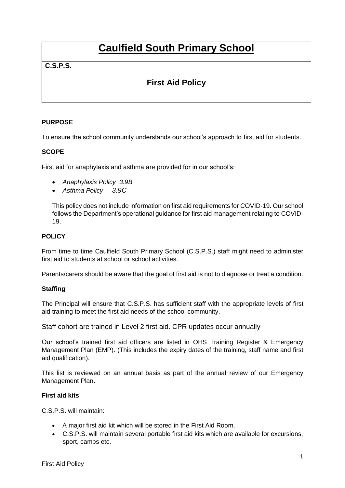# **Caulfield South Primary School**

### **C.S.P.S.**

## **First Aid Policy**

#### **PURPOSE**

To ensure the school community understands our school's approach to first aid for students.

#### **SCOPE**

First aid for anaphylaxis and asthma are provided for in our school's:

- *Anaphylaxis Policy 3.9B*
- *Asthma Policy 3.9C*

This policy does not include information on first aid requirements for COVID-19. Our school follows the Department's operational guidance for first aid management relating to COVID-19.

#### **POLICY**

From time to time Caulfield South Primary School (C.S.P.S.) staff might need to administer first aid to students at school or school activities.

Parents/carers should be aware that the goal of first aid is not to diagnose or treat a condition.

#### **Staffing**

The Principal will ensure that C.S.P.S. has sufficient staff with the appropriate levels of first aid training to meet the first aid needs of the school community.

Staff cohort are trained in Level 2 first aid. CPR updates occur annually

Our school's trained first aid officers are listed in OHS Training Register & Emergency Management Plan (EMP). (This includes the expiry dates of the training, staff name and first aid qualification).

This list is reviewed on an annual basis as part of the annual review of our Emergency Management Plan.

#### **First aid kits**

C.S.P.S. will maintain:

- A major first aid kit which will be stored in the First Aid Room.
- C.S.P.S. will maintain several portable first aid kits which are available for excursions, sport, camps etc.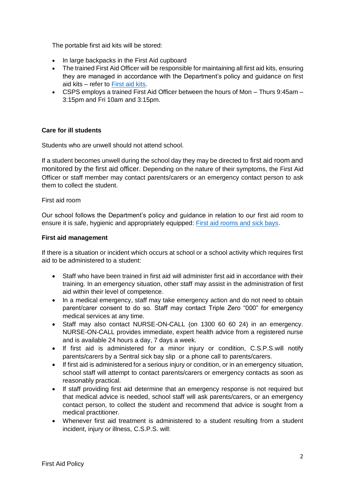The portable first aid kits will be stored:

- In large backpacks in the First Aid cupboard
- The trained First Aid Officer will be responsible for maintaining all first aid kits, ensuring they are managed in accordance with the Department's policy and guidance on first aid kits – refer to [First aid kits.](https://www2.education.vic.gov.au/pal/first-aid-students-and-staff/guidance/first-aid-kits)
- CSPS employs a trained First Aid Officer between the hours of Mon Thurs 9:45am 3:15pm and Fri 10am and 3:15pm.

#### **Care for ill students**

Students who are unwell should not attend school.

If a student becomes unwell during the school day they may be directed to first aid room and monitored by the first aid officer. Depending on the nature of their symptoms, the First Aid Officer or staff member may contact parents/carers or an emergency contact person to ask them to collect the student.

#### First aid room

Our school follows the Department's policy and guidance in relation to our first aid room to ensure it is safe, hygienic and appropriately equipped: [First aid rooms and sick bays.](https://www2.education.vic.gov.au/pal/first-aid-students-and-staff/guidance/first-aid-rooms-and-sick-bays)

#### **First aid management**

If there is a situation or incident which occurs at school or a school activity which requires first aid to be administered to a student:

- Staff who have been trained in first aid will administer first aid in accordance with their training. In an emergency situation, other staff may assist in the administration of first aid within their level of competence.
- In a medical emergency, staff may take emergency action and do not need to obtain parent/carer consent to do so. Staff may contact Triple Zero "000" for emergency medical services at any time.
- Staff may also contact NURSE-ON-CALL (on 1300 60 60 24) in an emergency. NURSE-ON-CALL provides immediate, expert health advice from a registered nurse and is available 24 hours a day, 7 days a week.
- If first aid is administered for a minor injury or condition, C.S.P.S.will notify parents/carers by a Sentral sick bay slip or a phone call to parents/carers.
- If first aid is administered for a serious injury or condition, or in an emergency situation, school staff will attempt to contact parents/carers or emergency contacts as soon as reasonably practical.
- If staff providing first aid determine that an emergency response is not required but that medical advice is needed, school staff will ask parents/carers, or an emergency contact person, to collect the student and recommend that advice is sought from a medical practitioner.
- Whenever first aid treatment is administered to a student resulting from a student incident, injury or illness, C.S.P.S. will: